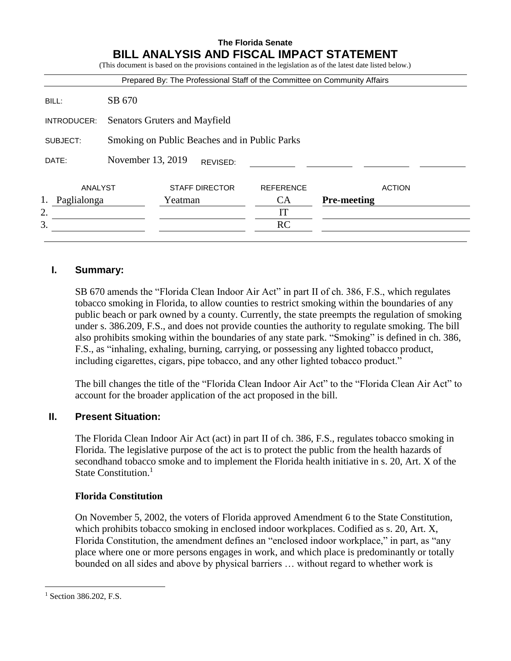# **The Florida Senate BILL ANALYSIS AND FISCAL IMPACT STATEMENT**

|                |                                               | Prepared By: The Professional Staff of the Committee on Community Affairs |                  |                    |
|----------------|-----------------------------------------------|---------------------------------------------------------------------------|------------------|--------------------|
| BILL:          | SB 670                                        |                                                                           |                  |                    |
| INTRODUCER:    | Senators Gruters and Mayfield                 |                                                                           |                  |                    |
| SUBJECT:       | Smoking on Public Beaches and in Public Parks |                                                                           |                  |                    |
| DATE:          |                                               | November 13, 2019<br>REVISED:                                             |                  |                    |
| <b>ANALYST</b> |                                               | <b>STAFF DIRECTOR</b>                                                     | <b>REFERENCE</b> | <b>ACTION</b>      |
| Paglialonga    |                                               | Yeatman                                                                   | <b>CA</b>        | <b>Pre-meeting</b> |
| 2.             |                                               |                                                                           | IT               |                    |
| 3.             |                                               |                                                                           | <b>RC</b>        |                    |

# **I. Summary:**

SB 670 amends the "Florida Clean Indoor Air Act" in part II of ch. 386, F.S., which regulates tobacco smoking in Florida, to allow counties to restrict smoking within the boundaries of any public beach or park owned by a county. Currently, the state preempts the regulation of smoking under s. 386.209, F.S., and does not provide counties the authority to regulate smoking. The bill also prohibits smoking within the boundaries of any state park. "Smoking" is defined in ch. 386, F.S., as "inhaling, exhaling, burning, carrying, or possessing any lighted tobacco product, including cigarettes, cigars, pipe tobacco, and any other lighted tobacco product."

The bill changes the title of the "Florida Clean Indoor Air Act" to the "Florida Clean Air Act" to account for the broader application of the act proposed in the bill.

# **II. Present Situation:**

The Florida Clean Indoor Air Act (act) in part II of ch. 386, F.S., regulates tobacco smoking in Florida. The legislative purpose of the act is to protect the public from the health hazards of secondhand tobacco smoke and to implement the Florida health initiative in s. 20, Art. X of the State Constitution. $<sup>1</sup>$ </sup>

## **Florida Constitution**

On November 5, 2002, the voters of Florida approved Amendment 6 to the State Constitution, which prohibits tobacco smoking in enclosed indoor workplaces. Codified as s. 20, Art. X, Florida Constitution, the amendment defines an "enclosed indoor workplace," in part, as "any place where one or more persons engages in work, and which place is predominantly or totally bounded on all sides and above by physical barriers … without regard to whether work is

<sup>&</sup>lt;sup>1</sup> Section 386.202, F.S.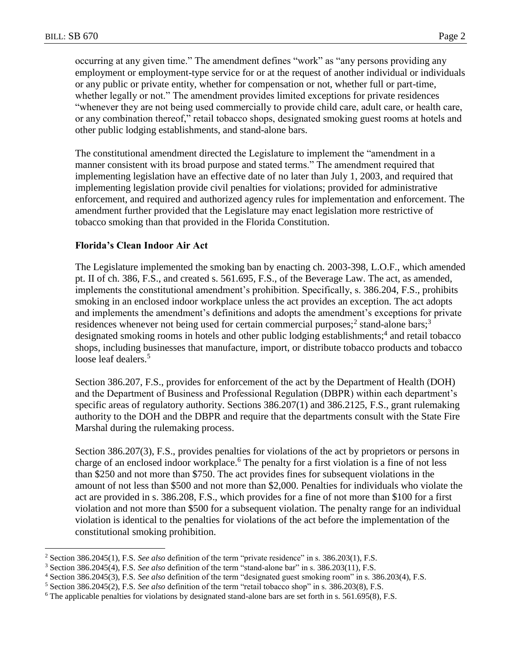$\overline{a}$ 

occurring at any given time." The amendment defines "work" as "any persons providing any employment or employment-type service for or at the request of another individual or individuals or any public or private entity, whether for compensation or not, whether full or part-time, whether legally or not." The amendment provides limited exceptions for private residences "whenever they are not being used commercially to provide child care, adult care, or health care, or any combination thereof," retail tobacco shops, designated smoking guest rooms at hotels and other public lodging establishments, and stand-alone bars.

The constitutional amendment directed the Legislature to implement the "amendment in a manner consistent with its broad purpose and stated terms." The amendment required that implementing legislation have an effective date of no later than July 1, 2003, and required that implementing legislation provide civil penalties for violations; provided for administrative enforcement, and required and authorized agency rules for implementation and enforcement. The amendment further provided that the Legislature may enact legislation more restrictive of tobacco smoking than that provided in the Florida Constitution.

### **Florida's Clean Indoor Air Act**

The Legislature implemented the smoking ban by enacting ch. 2003-398, L.O.F., which amended pt. II of ch. 386, F.S., and created s. 561.695, F.S., of the Beverage Law. The act, as amended, implements the constitutional amendment's prohibition. Specifically, s. 386.204, F.S., prohibits smoking in an enclosed indoor workplace unless the act provides an exception. The act adopts and implements the amendment's definitions and adopts the amendment's exceptions for private residences whenever not being used for certain commercial purposes;<sup>2</sup> stand-alone bars;<sup>3</sup> designated smoking rooms in hotels and other public lodging establishments;<sup>4</sup> and retail tobacco shops, including businesses that manufacture, import, or distribute tobacco products and tobacco loose leaf dealers.<sup>5</sup>

Section 386.207, F.S., provides for enforcement of the act by the Department of Health (DOH) and the Department of Business and Professional Regulation (DBPR) within each department's specific areas of regulatory authority. Sections 386.207(1) and 386.2125, F.S., grant rulemaking authority to the DOH and the DBPR and require that the departments consult with the State Fire Marshal during the rulemaking process.

Section 386.207(3), F.S., provides penalties for violations of the act by proprietors or persons in charge of an enclosed indoor workplace.<sup>6</sup> The penalty for a first violation is a fine of not less than \$250 and not more than \$750. The act provides fines for subsequent violations in the amount of not less than \$500 and not more than \$2,000. Penalties for individuals who violate the act are provided in s. 386.208, F.S., which provides for a fine of not more than \$100 for a first violation and not more than \$500 for a subsequent violation. The penalty range for an individual violation is identical to the penalties for violations of the act before the implementation of the constitutional smoking prohibition.

<sup>2</sup> Section 386.2045(1), F.S. *See also* definition of the term "private residence" in s. 386.203(1), F.S.

<sup>3</sup> Section 386.2045(4), F.S. *See also* definition of the term "stand-alone bar" in s. 386.203(11), F.S.

<sup>4</sup> Section 386.2045(3), F.S. *See also* definition of the term "designated guest smoking room" in s. 386.203(4), F.S.

<sup>5</sup> Section 386.2045(2), F.S. *See also* definition of the term "retail tobacco shop" in s. 386.203(8), F.S.

<sup>6</sup> The applicable penalties for violations by designated stand-alone bars are set forth in s. 561.695(8), F.S.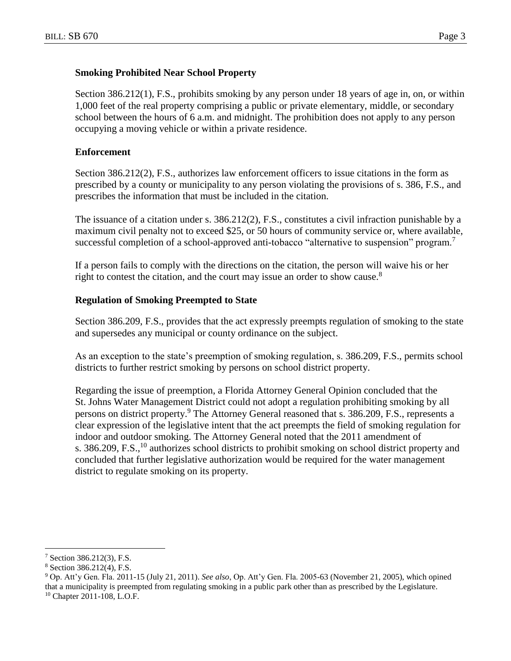### **Smoking Prohibited Near School Property**

Section 386.212(1), F.S., prohibits smoking by any person under 18 years of age in, on, or within 1,000 feet of the real property comprising a public or private elementary, middle, or secondary school between the hours of 6 a.m. and midnight. The prohibition does not apply to any person occupying a moving vehicle or within a private residence.

### **Enforcement**

Section 386.212(2), F.S., authorizes law enforcement officers to issue citations in the form as prescribed by a county or municipality to any person violating the provisions of s. 386, F.S., and prescribes the information that must be included in the citation.

The issuance of a citation under s. 386.212(2), F.S., constitutes a civil infraction punishable by a maximum civil penalty not to exceed \$25, or 50 hours of community service or, where available, successful completion of a school-approved anti-tobacco "alternative to suspension" program.<sup>7</sup>

If a person fails to comply with the directions on the citation, the person will waive his or her right to contest the citation, and the court may issue an order to show cause.<sup>8</sup>

#### **Regulation of Smoking Preempted to State**

Section 386.209, F.S., provides that the act expressly preempts regulation of smoking to the state and supersedes any municipal or county ordinance on the subject.

As an exception to the state's preemption of smoking regulation, s. 386.209, F.S., permits school districts to further restrict smoking by persons on school district property.

Regarding the issue of preemption, a Florida Attorney General Opinion concluded that the St. Johns Water Management District could not adopt a regulation prohibiting smoking by all persons on district property.<sup>9</sup> The Attorney General reasoned that s. 386.209, F.S., represents a clear expression of the legislative intent that the act preempts the field of smoking regulation for indoor and outdoor smoking. The Attorney General noted that the 2011 amendment of s. 386.209, F.S.,<sup>10</sup> authorizes school districts to prohibit smoking on school district property and concluded that further legislative authorization would be required for the water management district to regulate smoking on its property.

<sup>7</sup> Section 386.212(3), F.S.

<sup>8</sup> Section 386.212(4), F.S.

<sup>9</sup> Op. Att'y Gen. Fla. 2011-15 (July 21, 2011). *See also*, Op. Att'y Gen. Fla. 2005-63 (November 21, 2005), which opined that a municipality is preempted from regulating smoking in a public park other than as prescribed by the Legislature.

<sup>10</sup> Chapter 2011-108, L.O.F.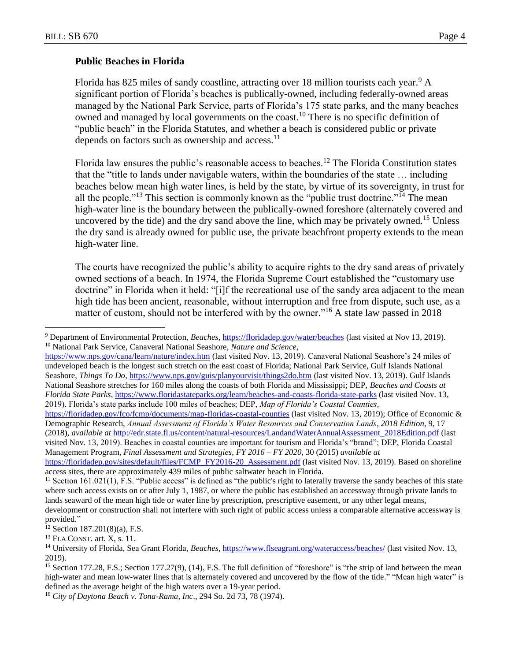$\overline{a}$ 

#### **Public Beaches in Florida**

Florida has 825 miles of sandy coastline, attracting over 18 million tourists each year.<sup>9</sup> A significant portion of Florida's beaches is publically-owned, including federally-owned areas managed by the National Park Service, parts of Florida's 175 state parks, and the many beaches owned and managed by local governments on the coast.<sup>10</sup> There is no specific definition of "public beach" in the Florida Statutes, and whether a beach is considered public or private depends on factors such as ownership and access. $^{11}$ 

Florida law ensures the public's reasonable access to beaches.<sup>12</sup> The Florida Constitution states that the "title to lands under navigable waters, within the boundaries of the state … including beaches below mean high water lines, is held by the state, by virtue of its sovereignty, in trust for all the people."<sup>13</sup> This section is commonly known as the "public trust doctrine."<sup>14</sup> The mean high-water line is the boundary between the publically-owned foreshore (alternately covered and uncovered by the tide) and the dry sand above the line, which may be privately owned.<sup>15</sup> Unless the dry sand is already owned for public use, the private beachfront property extends to the mean high-water line.

The courts have recognized the public's ability to acquire rights to the dry sand areas of privately owned sections of a beach. In 1974, the Florida Supreme Court established the "customary use doctrine" in Florida when it held: "[i]f the recreational use of the sandy area adjacent to the mean high tide has been ancient, reasonable, without interruption and free from dispute, such use, as a matter of custom, should not be interfered with by the owner."<sup>16</sup> A state law passed in 2018

<https://floridadep.gov/fco/fcmp/documents/map-floridas-coastal-counties> (last visited Nov. 13, 2019); Office of Economic & Demographic Research, *Annual Assessment of Florida's Water Resources and Conservation Lands*, *2018 Edition*, 9, 17 (2018), *available at* [http://edr.state.fl.us/content/natural-resources/LandandWaterAnnualAssessment\\_2018Edition.pdf](http://edr.state.fl.us/content/natural-resources/LandandWaterAnnualAssessment_2018Edition.pdf) (last visited Nov. 13, 2019). Beaches in coastal counties are important for tourism and Florida's "brand"; DEP, Florida Coastal Management Program, *Final Assessment and Strategies*, *FY 2016 – FY 2020*, 30 (2015) *available at*

<sup>9</sup> Department of Environmental Protection, *Beaches*[, https://floridadep.gov/water/beaches](https://floridadep.gov/water/beaches) (last visited at Nov 13, 2019). <sup>10</sup> National Park Service, Canaveral National Seashore*, Nature and Science*,

<https://www.nps.gov/cana/learn/nature/index.htm> (last visited Nov. 13, 2019). Canaveral National Seashore's 24 miles of undeveloped beach is the longest such stretch on the east coast of Florida; National Park Service, Gulf Islands National Seashore, *Things To Do*,<https://www.nps.gov/guis/planyourvisit/things2do.htm> (last visited Nov. 13, 2019). Gulf Islands National Seashore stretches for 160 miles along the coasts of both Florida and Mississippi; DEP, *Beaches and Coasts at Florida State Parks*, https://www.floridastateparks.org/learn/beaches-and-coasts-florida-state-parks (last visited Nov. 13, 2019). Florida's state parks include 100 miles of beaches; DEP, *Map of Florida's Coastal Counties*,

[https://floridadep.gov/sites/default/files/FCMP\\_FY2016-20\\_Assessment.pdf](https://floridadep.gov/sites/default/files/FCMP_FY2016-20_Assessment.pdf) (last visited Nov. 13, 2019). Based on shoreline access sites, there are approximately 439 miles of public saltwater beach in Florida.

<sup>&</sup>lt;sup>11</sup> Section 161.021(1), F.S. "Public access" is defined as "the public's right to laterally traverse the sandy beaches of this state where such access exists on or after July 1, 1987, or where the public has established an accessway through private lands to lands seaward of the mean high tide or water line by prescription, prescriptive easement, or any other legal means, development or construction shall not interfere with such right of public access unless a comparable alternative accessway is provided."

 $12$  Section 187.201(8)(a), F.S.

<sup>13</sup> FLA CONST. art. X, s. 11.

<sup>14</sup> University of Florida, Sea Grant Florida, *Beaches*,<https://www.flseagrant.org/wateraccess/beaches/> (last visited Nov. 13, 2019).

<sup>&</sup>lt;sup>15</sup> Section 177.28, F.S.; Section 177.27(9), (14), F.S. The full definition of "foreshore" is "the strip of land between the mean high-water and mean low-water lines that is alternately covered and uncovered by the flow of the tide." "Mean high water" is defined as the average height of the high waters over a 19-year period.

<sup>16</sup> *City of Daytona Beach v. Tona-Rama, Inc*., 294 So. 2d 73, 78 (1974).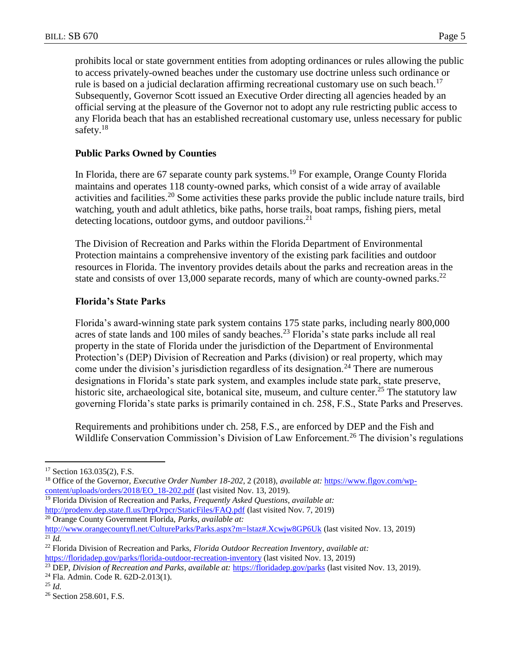prohibits local or state government entities from adopting ordinances or rules allowing the public to access privately-owned beaches under the customary use doctrine unless such ordinance or rule is based on a judicial declaration affirming recreational customary use on such beach.<sup>17</sup> Subsequently, Governor Scott issued an Executive Order directing all agencies headed by an official serving at the pleasure of the Governor not to adopt any rule restricting public access to any Florida beach that has an established recreational customary use, unless necessary for public safety. $18$ 

## **Public Parks Owned by Counties**

In Florida, there are 67 separate county park systems.<sup>19</sup> For example, Orange County Florida maintains and operates 118 county-owned parks, which consist of a wide array of available activities and facilities.<sup>20</sup> Some activities these parks provide the public include nature trails, bird watching, youth and adult athletics, bike paths, horse trails, boat ramps, fishing piers, metal detecting locations, outdoor gyms, and outdoor pavilions.<sup>21</sup>

The Division of Recreation and Parks within the Florida Department of Environmental Protection maintains a comprehensive inventory of the existing park facilities and outdoor resources in Florida. The inventory provides details about the parks and recreation areas in the state and consists of over 13,000 separate records, many of which are county-owned parks.<sup>22</sup>

## **Florida's State Parks**

Florida's award-winning state park system contains 175 state parks, including nearly 800,000 acres of state lands and 100 miles of sandy beaches.<sup>23</sup> Florida's state parks include all real property in the state of Florida under the jurisdiction of the Department of Environmental Protection's (DEP) Division of Recreation and Parks (division) or real property, which may come under the division's jurisdiction regardless of its designation.<sup>24</sup> There are numerous designations in Florida's state park system, and examples include state park, state preserve, historic site, archaeological site, botanical site, museum, and culture center.<sup>25</sup> The statutory law governing Florida's state parks is primarily contained in ch. 258, F.S., State Parks and Preserves.

Requirements and prohibitions under ch. 258, F.S., are enforced by DEP and the Fish and Wildlife Conservation Commission's Division of Law Enforcement.<sup>26</sup> The division's regulations

- <sup>19</sup> Florida Division of Recreation and Parks, *Frequently Asked Questions*, *available at:* <http://prodenv.dep.state.fl.us/DrpOrpcr/StaticFiles/FAQ.pdf> (last visited Nov. 7, 2019) <sup>20</sup> Orange County Government Florida, *Parks*, *available at:*
- <http://www.orangecountyfl.net/CultureParks/Parks.aspx?m=lstaz#.Xcwjw8GP6Uk> (last visited Nov. 13, 2019)  $\overline{^{21}}$  *Id.*

<sup>&</sup>lt;sup>17</sup> Section 163.035(2), F.S.

<sup>18</sup> Office of the Governor, *Executive Order Number 18-202*, 2 (2018), *available at:* [https://www.flgov.com/wp](https://www.flgov.com/wp-content/uploads/orders/2018/EO_18-202.pdf)[content/uploads/orders/2018/EO\\_18-202.pdf](https://www.flgov.com/wp-content/uploads/orders/2018/EO_18-202.pdf) (last visited Nov. 13, 2019).

<sup>22</sup> Florida Division of Recreation and Parks, *Florida Outdoor Recreation Inventory*, *available at:* <https://floridadep.gov/parks/florida-outdoor-recreation-inventory> (last visited Nov. 13, 2019)

<sup>23</sup> DEP, *Division of Recreation and Parks*, *available at:* <https://floridadep.gov/parks> (last visited Nov. 13, 2019).

<sup>24</sup> Fla. Admin. Code R. 62D-2.013(1).

<sup>25</sup> *Id.*

<sup>&</sup>lt;sup>26</sup> Section 258.601, F.S.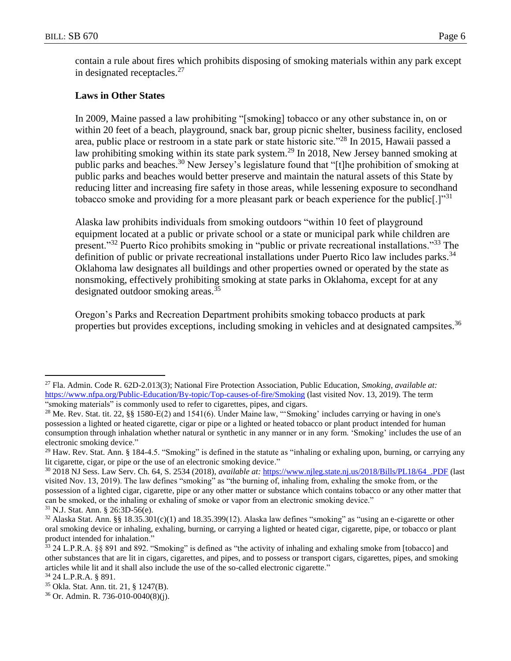contain a rule about fires which prohibits disposing of smoking materials within any park except in designated receptacles.<sup>27</sup>

## **Laws in Other States**

In 2009, Maine passed a law prohibiting "[smoking] tobacco or any other substance in, on or within 20 feet of a beach, playground, snack bar, group picnic shelter, business facility, enclosed area, public place or restroom in a state park or state historic site."<sup>28</sup> In 2015, Hawaii passed a law prohibiting smoking within its state park system.<sup>29</sup> In 2018, New Jersey banned smoking at public parks and beaches.<sup>30</sup> New Jersey's legislature found that "[t]he prohibition of smoking at public parks and beaches would better preserve and maintain the natural assets of this State by reducing litter and increasing fire safety in those areas, while lessening exposure to secondhand tobacco smoke and providing for a more pleasant park or beach experience for the public.]<sup>"31</sup>

Alaska law prohibits individuals from smoking outdoors "within 10 feet of playground equipment located at a public or private school or a state or municipal park while children are present."<sup>32</sup> Puerto Rico prohibits smoking in "public or private recreational installations."<sup>33</sup> The definition of public or private recreational installations under Puerto Rico law includes parks.<sup>34</sup> Oklahoma law designates all buildings and other properties owned or operated by the state as nonsmoking, effectively prohibiting smoking at state parks in Oklahoma, except for at any designated outdoor smoking areas.<sup>35</sup>

Oregon's Parks and Recreation Department prohibits smoking tobacco products at park properties but provides exceptions, including smoking in vehicles and at designated campsites.<sup>36</sup>

<sup>27</sup> Fla. Admin. Code R. 62D-2.013(3); National Fire Protection Association, Public Education, *Smoking*, *available at:*  <https://www.nfpa.org/Public-Education/By-topic/Top-causes-of-fire/Smoking> (last visited Nov. 13, 2019). The term "smoking materials" is commonly used to refer to cigarettes, pipes, and cigars.

<sup>&</sup>lt;sup>28</sup> Me. Rev. Stat. tit. 22, §§ 1580-E(2) and 1541(6). Under Maine law, "'Smoking' includes carrying or having in one's possession a lighted or heated cigarette, cigar or pipe or a lighted or heated tobacco or plant product intended for human consumption through inhalation whether natural or synthetic in any manner or in any form. 'Smoking' includes the use of an electronic smoking device."

 $^{29}$  Haw. Rev. Stat. Ann. § 184-4.5. "Smoking" is defined in the statute as "inhaling or exhaling upon, burning, or carrying any lit cigarette, cigar, or pipe or the use of an electronic smoking device."

<sup>30</sup> 2018 NJ Sess. Law Serv. Ch. 64, S. 2534 (2018), *available at:* [https://www.njleg.state.nj.us/2018/Bills/PL18/64\\_.PDF](https://www.njleg.state.nj.us/2018/Bills/PL18/64_.PDF) (last visited Nov. 13, 2019). The law defines "smoking" as "the burning of, inhaling from, exhaling the smoke from, or the possession of a lighted cigar, cigarette, pipe or any other matter or substance which contains tobacco or any other matter that can be smoked, or the inhaling or exhaling of smoke or vapor from an electronic smoking device." <sup>31</sup> N.J. Stat. Ann. § 26:3D-56(e).

 $32$  Alaska Stat. Ann. §§ 18.35.301(c)(1) and 18.35.399(12). Alaska law defines "smoking" as "using an e-cigarette or other oral smoking device or inhaling, exhaling, burning, or carrying a lighted or heated cigar, cigarette, pipe, or tobacco or plant product intended for inhalation."

 $33$  24 L.P.R.A. §§ 891 and 892. "Smoking" is defined as "the activity of inhaling and exhaling smoke from [tobacco] and other substances that are lit in cigars, cigarettes, and pipes, and to possess or transport cigars, cigarettes, pipes, and smoking articles while lit and it shall also include the use of the so-called electronic cigarette."

<sup>34</sup> 24 L.P.R.A. § 891.

<sup>35</sup> Okla. Stat. Ann. tit. 21, § 1247(B).

<sup>36</sup> Or. Admin. R. 736-010-0040(8)(j).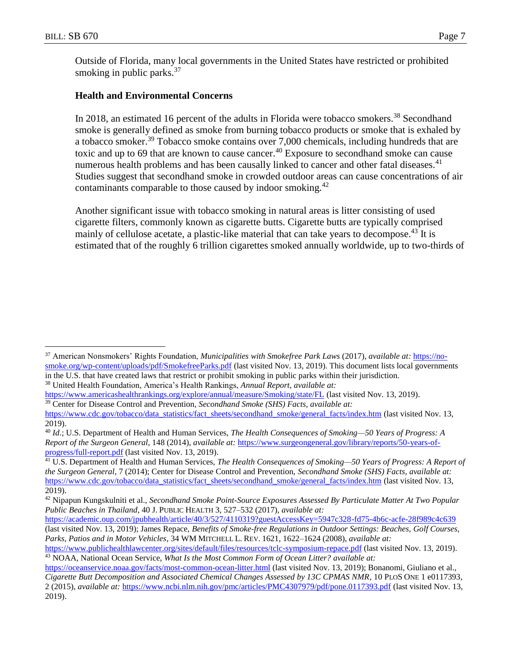$\overline{a}$ 

Outside of Florida, many local governments in the United States have restricted or prohibited smoking in public parks. $37$ 

## **Health and Environmental Concerns**

In 2018, an estimated 16 percent of the adults in Florida were tobacco smokers.<sup>38</sup> Secondhand smoke is generally defined as smoke from burning tobacco products or smoke that is exhaled by a tobacco smoker.<sup>39</sup> Tobacco smoke contains over 7,000 chemicals, including hundreds that are toxic and up to 69 that are known to cause cancer.<sup>40</sup> Exposure to secondhand smoke can cause numerous health problems and has been causally linked to cancer and other fatal diseases.<sup>41</sup> Studies suggest that secondhand smoke in crowded outdoor areas can cause concentrations of air contaminants comparable to those caused by indoor smoking.<sup>42</sup>

Another significant issue with tobacco smoking in natural areas is litter consisting of used cigarette filters, commonly known as cigarette butts. Cigarette butts are typically comprised mainly of cellulose acetate, a plastic-like material that can take years to decompose.<sup>43</sup> It is estimated that of the roughly 6 trillion cigarettes smoked annually worldwide, up to two-thirds of

<sup>38</sup> United Health Foundation, America's Health Rankings, *Annual Report*, *available at:*

<sup>37</sup> American Nonsmokers' Rights Foundation, *Municipalities with Smokefree Park Laws* (2017), *available at:* [https://no](https://no-smoke.org/wp-content/uploads/pdf/SmokefreeParks.pdf)[smoke.org/wp-content/uploads/pdf/SmokefreeParks.pdf](https://no-smoke.org/wp-content/uploads/pdf/SmokefreeParks.pdf) (last visited Nov. 13, 2019). This document lists local governments in the U.S. that have created laws that restrict or prohibit smoking in public parks within their jurisdiction.

<https://www.americashealthrankings.org/explore/annual/measure/Smoking/state/FL> (last visited Nov. 13, 2019). <sup>39</sup> Center for Disease Control and Prevention, *Secondhand Smoke (SHS) Facts*, *available at:* 

[https://www.cdc.gov/tobacco/data\\_statistics/fact\\_sheets/secondhand\\_smoke/general\\_facts/index.htm](https://www.cdc.gov/tobacco/data_statistics/fact_sheets/secondhand_smoke/general_facts/index.htm) (last visited Nov. 13, 2019).

<sup>40</sup> *Id*.; U.S. Department of Health and Human Services, *The Health Consequences of Smoking—50 Years of Progress: A Report of the Surgeon General*, 148 (2014), *available at:* [https://www.surgeongeneral.gov/library/reports/50-years-of](https://www.surgeongeneral.gov/library/reports/50-years-of-progress/full-report.pdf)[progress/full-report.pdf](https://www.surgeongeneral.gov/library/reports/50-years-of-progress/full-report.pdf) (last visited Nov. 13, 2019).

<sup>41</sup> U.S. Department of Health and Human Services, *The Health Consequences of Smoking—50 Years of Progress: A Report of the Surgeon General*, 7 (2014); Center for Disease Control and Prevention, *Secondhand Smoke (SHS) Facts*, *available at:*  [https://www.cdc.gov/tobacco/data\\_statistics/fact\\_sheets/secondhand\\_smoke/general\\_facts/index.htm](https://www.cdc.gov/tobacco/data_statistics/fact_sheets/secondhand_smoke/general_facts/index.htm) (last visited Nov. 13, 2019).

<sup>42</sup> Nipapun Kungskulniti et al., *Secondhand Smoke Point-Source Exposures Assessed By Particulate Matter At Two Popular Public Beaches in Thailand*, 40 J. PUBLIC HEALTH 3, 527–532 (2017), *available at:*

<https://academic.oup.com/jpubhealth/article/40/3/527/4110319?guestAccessKey=5947c328-fd75-4b6c-acfe-28f989c4c639> (last visited Nov. 13, 2019); James Repace, *Benefits of Smoke-free Regulations in Outdoor Settings: Beaches, Golf Courses, Parks, Patios and in Motor Vehicles*, 34 WM MITCHELL L. REV. 1621, 1622–1624 (2008), *available at:*

<https://www.publichealthlawcenter.org/sites/default/files/resources/tclc-symposium-repace.pdf> (last visited Nov. 13, 2019). <sup>43</sup> NOAA, National Ocean Service, *What Is the Most Common Form of Ocean Litter? available at:* 

<https://oceanservice.noaa.gov/facts/most-common-ocean-litter.html> (last visited Nov. 13, 2019); Bonanomi, Giuliano et al., *Cigarette Butt Decomposition and Associated Chemical Changes Assessed by 13C CPMAS NMR*, 10 PLOS ONE 1 e0117393, 2 (2015), *available at:* <https://www.ncbi.nlm.nih.gov/pmc/articles/PMC4307979/pdf/pone.0117393.pdf> (last visited Nov. 13, 2019).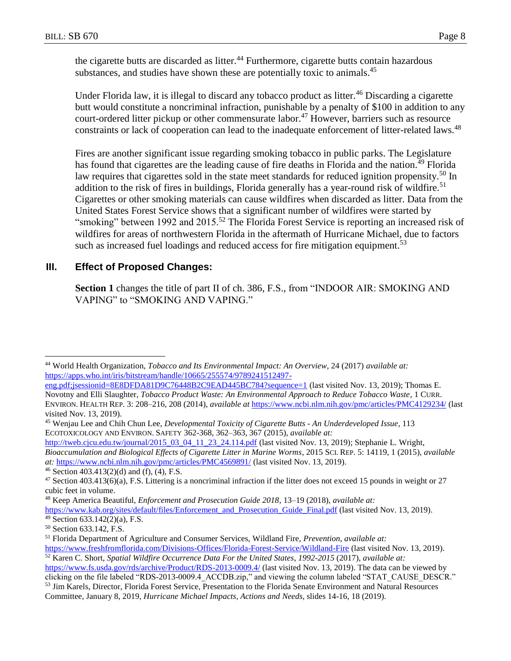the cigarette butts are discarded as litter.<sup>44</sup> Furthermore, cigarette butts contain hazardous substances, and studies have shown these are potentially toxic to animals.<sup>45</sup>

Under Florida law, it is illegal to discard any tobacco product as litter.<sup>46</sup> Discarding a cigarette butt would constitute a noncriminal infraction, punishable by a penalty of \$100 in addition to any court-ordered litter pickup or other commensurate labor.<sup>47</sup> However, barriers such as resource constraints or lack of cooperation can lead to the inadequate enforcement of litter-related laws.<sup>48</sup>

Fires are another significant issue regarding smoking tobacco in public parks. The Legislature has found that cigarettes are the leading cause of fire deaths in Florida and the nation.<sup>49</sup> Florida law requires that cigarettes sold in the state meet standards for reduced ignition propensity.<sup>50</sup> In addition to the risk of fires in buildings, Florida generally has a year-round risk of wildfire.<sup>51</sup> Cigarettes or other smoking materials can cause wildfires when discarded as litter. Data from the United States Forest Service shows that a significant number of wildfires were started by "smoking" between 1992 and 2015.<sup>52</sup> The Florida Forest Service is reporting an increased risk of wildfires for areas of northwestern Florida in the aftermath of Hurricane Michael, due to factors such as increased fuel loadings and reduced access for fire mitigation equipment.<sup>53</sup>

# **III. Effect of Proposed Changes:**

**Section 1** changes the title of part II of ch. 386, F.S., from "INDOOR AIR: SMOKING AND VAPING" to "SMOKING AND VAPING."

 $\overline{a}$ <sup>44</sup> World Health Organization, *Tobacco and Its Environmental Impact: An Overview*, 24 (2017) *available at:* [https://apps.who.int/iris/bitstream/handle/10665/255574/9789241512497-](https://apps.who.int/iris/bitstream/handle/10665/255574/9789241512497-eng.pdf;jsessionid=8E8DFDA81D9C76448B2C9EAD445BC784?sequence=1)

[http://tweb.cjcu.edu.tw/journal/2015\\_03\\_04\\_11\\_23\\_24.114.pdf](http://tweb.cjcu.edu.tw/journal/2015_03_04_11_23_24.114.pdf) (last visited Nov. 13, 2019); Stephanie L. Wright, *Bioaccumulation and Biological Effects of Cigarette Litter in Marine Worms*, 2015 SCI. REP. 5: 14119, 1 (2015), *available at:* <https://www.ncbi.nlm.nih.gov/pmc/articles/PMC4569891/> (last visited Nov. 13, 2019).

[eng.pdf;jsessionid=8E8DFDA81D9C76448B2C9EAD445BC784?sequence=1](https://apps.who.int/iris/bitstream/handle/10665/255574/9789241512497-eng.pdf;jsessionid=8E8DFDA81D9C76448B2C9EAD445BC784?sequence=1) (last visited Nov. 13, 2019); Thomas E. Novotny and Elli Slaughter, *Tobacco Product Waste: An Environmental Approach to Reduce Tobacco Waste*, 1 CURR. ENVIRON. HEALTH REP. 3: 208–216, 208 (2014), *available at* <https://www.ncbi.nlm.nih.gov/pmc/articles/PMC4129234/> (last visited Nov. 13, 2019).

<sup>45</sup> Wenjau Lee and Chih Chun Lee, *Developmental Toxicity of Cigarette Butts - An Underdeveloped Issue*, 113 ECOTOXICOLOGY AND ENVIRON. SAFETY 362-368, 362–363, 367 (2015), *available at:*

<sup>&</sup>lt;sup>46</sup> Section 403.413(2)(d) and (f), (4), F.S.

 $47$  Section 403.413(6)(a), F.S. Littering is a noncriminal infraction if the litter does not exceed 15 pounds in weight or 27 cubic feet in volume.

<sup>48</sup> Keep America Beautiful, *Enforcement and Prosecution Guide 2018*, 13–19 (2018), *available at:*

[https://www.kab.org/sites/default/files/Enforcement\\_and\\_Prosecution\\_Guide\\_Final.pdf](https://www.kab.org/sites/default/files/Enforcement_and_Prosecution_Guide_Final.pdf) (last visited Nov. 13, 2019).

 $49$  Section 633.142(2)(a), F.S.

<sup>50</sup> Section 633.142, F.S.

<sup>51</sup> Florida Department of Agriculture and Consumer Services, Wildland Fire, *Prevention*, *available at:*  <https://www.freshfromflorida.com/Divisions-Offices/Florida-Forest-Service/Wildland-Fire> (last visited Nov. 13, 2019).

<sup>52</sup> Karen C. Short, *Spatial Wildfire Occurrence Data For the United States*, *1992-2015* (2017), *available at:* <https://www.fs.usda.gov/rds/archive/Product/RDS-2013-0009.4/> (last visited Nov. 13, 2019). The data can be viewed by

clicking on the file labeled "RDS-2013-0009.4\_ACCDB.zip," and viewing the column labeled "STAT\_CAUSE\_DESCR."

<sup>53</sup> Jim Karels, Director, Florida Forest Service, Presentation to the Florida Senate Environment and Natural Resources Committee, January 8, 2019, *Hurricane Michael Impacts, Actions and Needs*, slides 14-16, 18 (2019).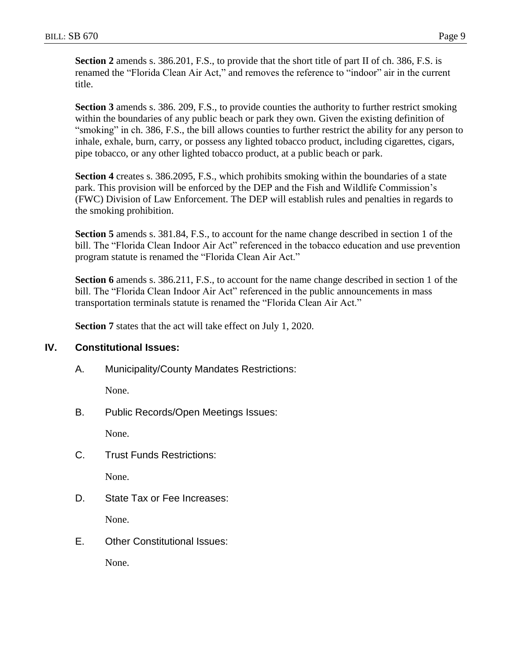**Section 2** amends s. 386.201, F.S., to provide that the short title of part II of ch. 386, F.S. is renamed the "Florida Clean Air Act," and removes the reference to "indoor" air in the current title.

**Section 3** amends s. 386. 209, F.S., to provide counties the authority to further restrict smoking within the boundaries of any public beach or park they own. Given the existing definition of "smoking" in ch. 386, F.S., the bill allows counties to further restrict the ability for any person to inhale, exhale, burn, carry, or possess any lighted tobacco product, including cigarettes, cigars, pipe tobacco, or any other lighted tobacco product, at a public beach or park.

**Section 4** creates s. 386.2095, F.S., which prohibits smoking within the boundaries of a state park. This provision will be enforced by the DEP and the Fish and Wildlife Commission's (FWC) Division of Law Enforcement. The DEP will establish rules and penalties in regards to the smoking prohibition.

**Section 5** amends s. 381.84, F.S., to account for the name change described in section 1 of the bill. The "Florida Clean Indoor Air Act" referenced in the tobacco education and use prevention program statute is renamed the "Florida Clean Air Act."

**Section 6** amends s. 386.211, F.S., to account for the name change described in section 1 of the bill. The "Florida Clean Indoor Air Act" referenced in the public announcements in mass transportation terminals statute is renamed the "Florida Clean Air Act."

**Section 7** states that the act will take effect on July 1, 2020.

## **IV. Constitutional Issues:**

A. Municipality/County Mandates Restrictions:

None.

B. Public Records/Open Meetings Issues:

None.

C. Trust Funds Restrictions:

None.

D. State Tax or Fee Increases:

None.

E. Other Constitutional Issues:

None.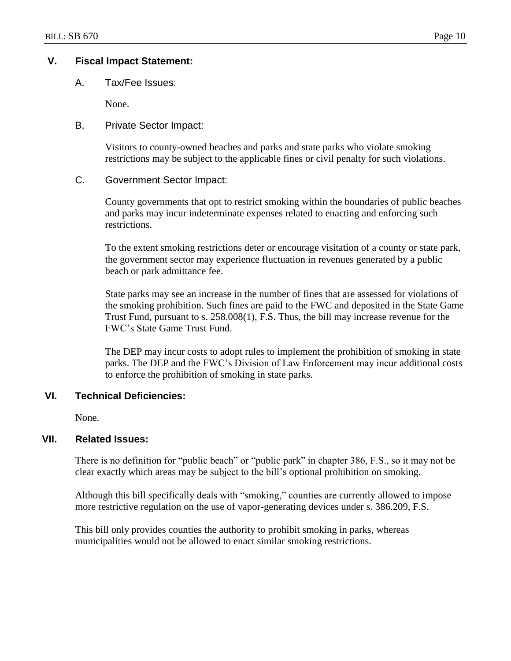## **V. Fiscal Impact Statement:**

A. Tax/Fee Issues:

None.

### B. Private Sector Impact:

Visitors to county-owned beaches and parks and state parks who violate smoking restrictions may be subject to the applicable fines or civil penalty for such violations.

## C. Government Sector Impact:

County governments that opt to restrict smoking within the boundaries of public beaches and parks may incur indeterminate expenses related to enacting and enforcing such restrictions.

To the extent smoking restrictions deter or encourage visitation of a county or state park, the government sector may experience fluctuation in revenues generated by a public beach or park admittance fee.

State parks may see an increase in the number of fines that are assessed for violations of the smoking prohibition. Such fines are paid to the FWC and deposited in the State Game Trust Fund, pursuant to s. 258.008(1), F.S. Thus, the bill may increase revenue for the FWC's State Game Trust Fund.

The DEP may incur costs to adopt rules to implement the prohibition of smoking in state parks. The DEP and the FWC's Division of Law Enforcement may incur additional costs to enforce the prohibition of smoking in state parks.

## **VI. Technical Deficiencies:**

None.

## **VII. Related Issues:**

There is no definition for "public beach" or "public park" in chapter 386, F.S., so it may not be clear exactly which areas may be subject to the bill's optional prohibition on smoking.

Although this bill specifically deals with "smoking," counties are currently allowed to impose more restrictive regulation on the use of vapor-generating devices under s. 386.209, F.S.

This bill only provides counties the authority to prohibit smoking in parks, whereas municipalities would not be allowed to enact similar smoking restrictions.